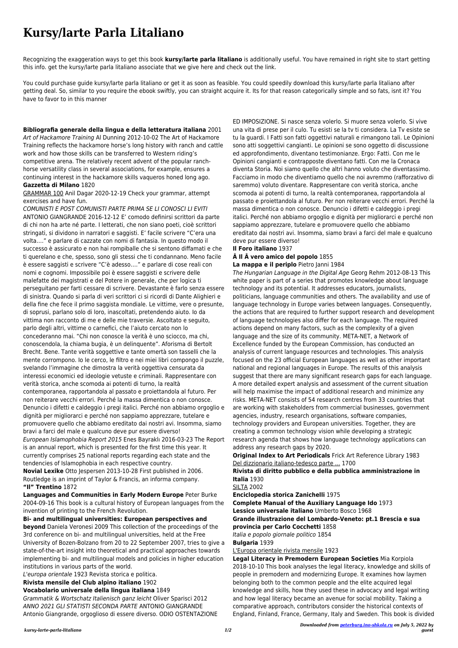# **Kursy/larte Parla Litaliano**

Recognizing the exaggeration ways to get this book **kursy/larte parla litaliano** is additionally useful. You have remained in right site to start getting this info. get the kursy/larte parla litaliano associate that we give here and check out the link.

You could purchase guide kursy/larte parla litaliano or get it as soon as feasible. You could speedily download this kursy/larte parla litaliano after getting deal. So, similar to you require the ebook swiftly, you can straight acquire it. Its for that reason categorically simple and so fats, isnt it? You have to favor to in this manner

## **Bibliografia generale della lingua e della letteratura italiana** 2001

Art of Hackamore Training Al Dunning 2012-10-02 The Art of Hackamore Training reflects the hackamore horse's long history with ranch and cattle work and how those skills can be transferred to Western riding's competitive arena. The relatively recent advent of the popular ranchhorse versatility class in several associations, for example, ensures a continuing interest in the hackamore skills vaqueros honed long ago. **Gazzetta di Milano** 1820

## GRAMMAR 100 Anil Dagar 2020-12-19 Check your grammar, attempt exercises and have fun.

COMUNISTI E POST COMUNISTI PARTE PRIMA SE LI CONOSCI LI EVITI ANTONIO GIANGRANDE 2016-12-12 E' comodo definirsi scrittori da parte di chi non ha arte né parte. I letterati, che non siano poeti, cioè scrittori stringati, si dividono in narratori e saggisti. E' facile scrivere "C'era una volta…." e parlare di cazzate con nomi di fantasia. In questo modo il successo è assicurato e non hai rompiballe che si sentono diffamati e che ti querelano e che, spesso, sono gli stessi che ti condannano. Meno facile è essere saggisti e scrivere "C'è adesso…." e parlare di cose reali con nomi e cognomi. Impossibile poi è essere saggisti e scrivere delle malefatte dei magistrati e del Potere in generale, che per logica ti perseguitano per farti cessare di scrivere. Devastante è farlo senza essere di sinistra. Quando si parla di veri scrittori ci si ricordi di Dante Alighieri e della fine che fece il primo saggista mondiale. Le vittime, vere o presunte, di soprusi, parlano solo di loro, inascoltati, pretendendo aiuto. Io da vittima non racconto di me e delle mie traversie. Ascoltato e seguito, parlo degli altri, vittime o carnefici, che l'aiuto cercato non lo concederanno mai. "Chi non conosce la verità è uno sciocco, ma chi, conoscendola, la chiama bugia, è un delinquente". Aforisma di Bertolt Brecht. Bene. Tante verità soggettive e tante omertà son tasselli che la mente corrompono. Io le cerco, le filtro e nei miei libri compongo il puzzle, svelando l'immagine che dimostra la verità oggettiva censurata da interessi economici ed ideologie vetuste e criminali. Rappresentare con verità storica, anche scomoda ai potenti di turno, la realtà contemporanea, rapportandola al passato e proiettandola al futuro. Per non reiterare vecchi errori. Perché la massa dimentica o non conosce. Denuncio i difetti e caldeggio i pregi italici. Perché non abbiamo orgoglio e dignità per migliorarci e perché non sappiamo apprezzare, tutelare e promuovere quello che abbiamo ereditato dai nostri avi. Insomma, siamo bravi a farci del male e qualcuno deve pur essere diverso! European Islamophobia Report 2015 Enes Bayraklı 2016-03-23 The Report is an annual report, which is presented for the first time this year. It currently comprises 25 national reports regarding each state and the tendencies of Islamophobia in each respective country. **Novial Lexike** Otto Jespersen 2013-10-28 First published in 2006.

Routledge is an imprint of Taylor & Francis, an informa company. **"Il" Trentino** 1872

**Languages and Communities in Early Modern Europe** Peter Burke 2004-09-16 This book is a cultural history of European languages from the invention of printing to the French Revolution.

**Bi- and multilingual universities: European perspectives and beyond** Daniela Veronesi 2009 This collection of the proceedings of the 3rd conference on bi- and multilingual universities, held at the Free University of Bozen-Bolzano from 20 to 22 September 2007, tries to give a state-of-the-art insight into theoretical and practical approaches towards implementing bi- and multilingual models and policies in higher education institutions in various parts of the world.

L'europa orientale 1923 Revista storica e politica.

#### **Rivista mensile del Club alpino italiano** 1902 **Vocabolario universale della lingua italiana** 1849

Grammatik & Wortschatz Italienisch ganz leicht Oliver Sparisci 2012 ANNO 2021 GLI STATISTI SECONDA PARTE ANTONIO GIANGRANDE Antonio Giangrande, orgoglioso di essere diverso. ODIO OSTENTAZIONE ED IMPOSIZIONE. Si nasce senza volerlo. Si muore senza volerlo. Si vive una vita di prese per il culo. Tu esisti se la tv ti considera. La Tv esiste se tu la guardi. I Fatti son fatti oggettivi naturali e rimangono tali. Le Opinioni sono atti soggettivi cangianti. Le opinioni se sono oggetto di discussione ed approfondimento, diventano testimonianze. Ergo: Fatti. Con me le Opinioni cangianti e contrapposte diventano fatti. Con me la Cronaca diventa Storia. Noi siamo quello che altri hanno voluto che diventassimo. Facciamo in modo che diventiamo quello che noi avremmo (rafforzativo di saremmo) voluto diventare. Rappresentare con verità storica, anche scomoda ai potenti di turno, la realtà contemporanea, rapportandola al passato e proiettandola al futuro. Per non reiterare vecchi errori. Perché la massa dimentica o non conosce. Denuncio i difetti e caldeggio i pregi italici. Perché non abbiamo orgoglio e dignità per migliorarci e perché non sappiamo apprezzare, tutelare e promuovere quello che abbiamo ereditato dai nostri avi. Insomma, siamo bravi a farci del male e qualcuno deve pur essere diverso!

## **Il Foro italiano** 1937

## $\hat{A}$  Il  $\hat{A}$  vero amico del popolo 1855

#### **La mappa e il periplo** Pietro Janni 1984

The Hungarian Language in the Digital Age Georg Rehm 2012-08-13 This white paper is part of a series that promotes knowledge about language technology and its potential. It addresses educators, journalists, politicians, language communities and others. The availability and use of language technology in Europe varies between languages. Consequently, the actions that are required to further support research and development of language technologies also differ for each language. The required actions depend on many factors, such as the complexity of a given language and the size of its community. META-NET, a Network of Excellence funded by the European Commission, has conducted an analysis of current language resources and technologies. This analysis focused on the 23 official European languages as well as other important national and regional languages in Europe. The results of this analysis suggest that there are many significant research gaps for each language. A more detailed expert analysis and assessment of the current situation will help maximise the impact of additional research and minimize any risks. META-NET consists of 54 research centres from 33 countries that are working with stakeholders from commercial businesses, government agencies, industry, research organisations, software companies, technology providers and European universities. Together, they are creating a common technology vision while developing a strategic research agenda that shows how language technology applications can address any research gaps by 2020.

**Original Index to Art Periodicals** Frick Art Reference Library 1983 Del dizzionario italiano-tedesco parte ... 1700

**Rivista di diritto pubblico e della pubblica amministrazione in Italia** 1930

#### SILTA 2002

**Enciclopedia storica Zanichelli** 1975 **Complete Manual of the Auxiliary Language Ido** 1973 **Lessico universale italiano** Umberto Bosco 1968 **Grande illustrazione del Lombardo-Veneto: pt.1 Brescia e sua provincia per Carlo Cocchetti** 1858 Italia e popolo giornale politico 1854 **Bulgaria** 1939

#### L'Europa orientale rivista mensile 1923

**Legal Literacy in Premodern European Societies** Mia Korpiola

2018-10-10 This book analyses the legal literacy, knowledge and skills of people in premodern and modernizing Europe. It examines how laymen belonging both to the common people and the elite acquired legal knowledge and skills, how they used these in advocacy and legal writing and how legal literacy became an avenue for social mobility. Taking a comparative approach, contributors consider the historical contexts of England, Finland, France, Germany, Italy and Sweden. This book is divided